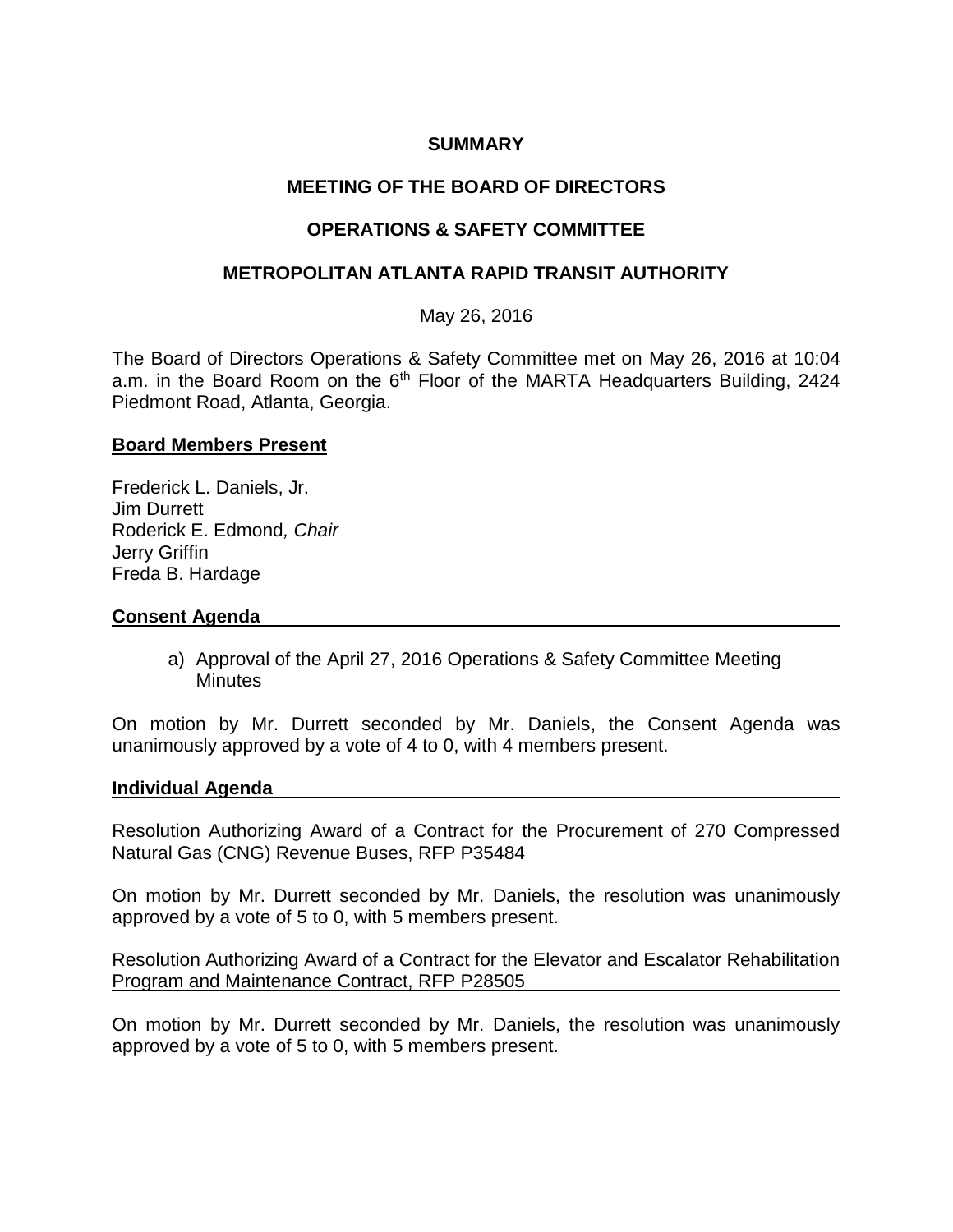## **SUMMARY**

# **MEETING OF THE BOARD OF DIRECTORS**

## **OPERATIONS & SAFETY COMMITTEE**

## **METROPOLITAN ATLANTA RAPID TRANSIT AUTHORITY**

May 26, 2016

The Board of Directors Operations & Safety Committee met on May 26, 2016 at 10:04 a.m. in the Board Room on the 6<sup>th</sup> Floor of the MARTA Headquarters Building, 2424 Piedmont Road, Atlanta, Georgia.

### **Board Members Present**

Frederick L. Daniels, Jr. Jim Durrett Roderick E. Edmond*, Chair* Jerry Griffin Freda B. Hardage

### **Consent Agenda**

a) Approval of the April 27, 2016 Operations & Safety Committee Meeting **Minutes** 

On motion by Mr. Durrett seconded by Mr. Daniels, the Consent Agenda was unanimously approved by a vote of 4 to 0, with 4 members present.

#### **Individual Agenda**

Resolution Authorizing Award of a Contract for the Procurement of 270 Compressed Natural Gas (CNG) Revenue Buses, RFP P35484

On motion by Mr. Durrett seconded by Mr. Daniels, the resolution was unanimously approved by a vote of 5 to 0, with 5 members present.

Resolution Authorizing Award of a Contract for the Elevator and Escalator Rehabilitation Program and Maintenance Contract, RFP P28505

On motion by Mr. Durrett seconded by Mr. Daniels, the resolution was unanimously approved by a vote of 5 to 0, with 5 members present.